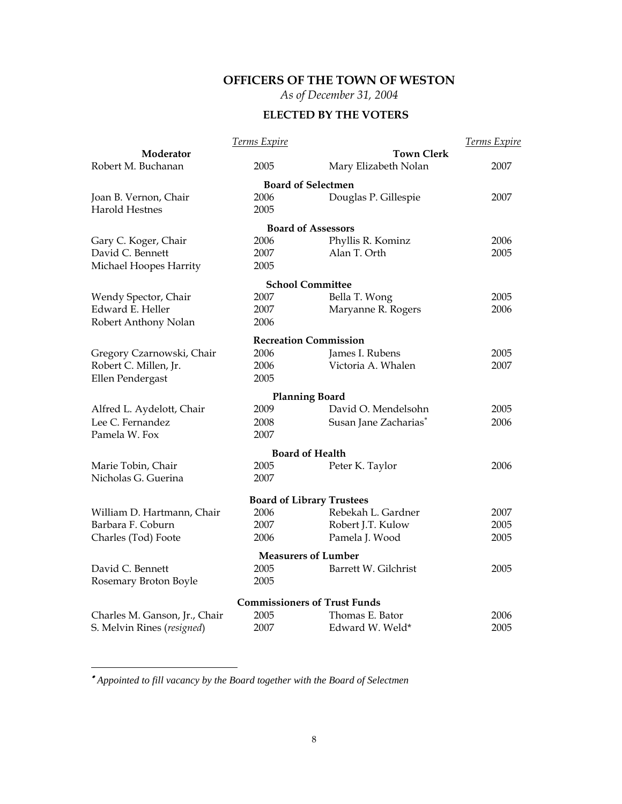## **OFFICERS OF THE TOWN OF WESTON**

*As of December 31, 2004* 

## **ELECTED BY THE VOTERS**

|                               | Terms Expire |                                     | Terms Expire |
|-------------------------------|--------------|-------------------------------------|--------------|
| Moderator                     |              | <b>Town Clerk</b>                   |              |
| Robert M. Buchanan            | 2005         | Mary Elizabeth Nolan                | 2007         |
|                               |              | <b>Board of Selectmen</b>           |              |
| Joan B. Vernon, Chair         | 2006         | Douglas P. Gillespie                | 2007         |
| <b>Harold Hestnes</b>         | 2005         |                                     |              |
|                               |              | <b>Board of Assessors</b>           |              |
| Gary C. Koger, Chair          | 2006         | Phyllis R. Kominz                   | 2006         |
| David C. Bennett              | 2007         | Alan T. Orth                        | 2005         |
| Michael Hoopes Harrity        | 2005         |                                     |              |
|                               |              | <b>School Committee</b>             |              |
| Wendy Spector, Chair          | 2007         | Bella T. Wong                       | 2005         |
| Edward E. Heller              | 2007         | Maryanne R. Rogers                  | 2006         |
| Robert Anthony Nolan          | 2006         |                                     |              |
|                               |              | <b>Recreation Commission</b>        |              |
| Gregory Czarnowski, Chair     | 2006         | James I. Rubens                     | 2005         |
| Robert C. Millen, Jr.         | 2006         | Victoria A. Whalen                  | 2007         |
| Ellen Pendergast              | 2005         |                                     |              |
|                               |              | <b>Planning Board</b>               |              |
| Alfred L. Aydelott, Chair     | 2009         | David O. Mendelsohn                 | 2005         |
| Lee C. Fernandez              | 2008         | Susan Jane Zacharias*               | 2006         |
| Pamela W. Fox                 | 2007         |                                     |              |
|                               |              | <b>Board of Health</b>              |              |
| Marie Tobin, Chair            | 2005         | Peter K. Taylor                     | 2006         |
| Nicholas G. Guerina           | 2007         |                                     |              |
|                               |              | <b>Board of Library Trustees</b>    |              |
| William D. Hartmann, Chair    | 2006         | Rebekah L. Gardner                  | 2007         |
| Barbara F. Coburn             | 2007         | Robert J.T. Kulow                   | 2005         |
| Charles (Tod) Foote           | 2006         | Pamela J. Wood                      | 2005         |
|                               |              | <b>Measurers of Lumber</b>          |              |
| David C. Bennett              | 2005         | Barrett W. Gilchrist                | 2005         |
| Rosemary Broton Boyle         | 2005         |                                     |              |
|                               |              |                                     |              |
|                               |              | <b>Commissioners of Trust Funds</b> |              |
| Charles M. Ganson, Jr., Chair | 2005         | Thomas E. Bator                     | 2006         |
| S. Melvin Rines (resigned)    | 2007         | Edward W. Weld*                     | 2005         |

 ∗ *Appointed to fill vacancy by the Board together with the Board of Selectmen*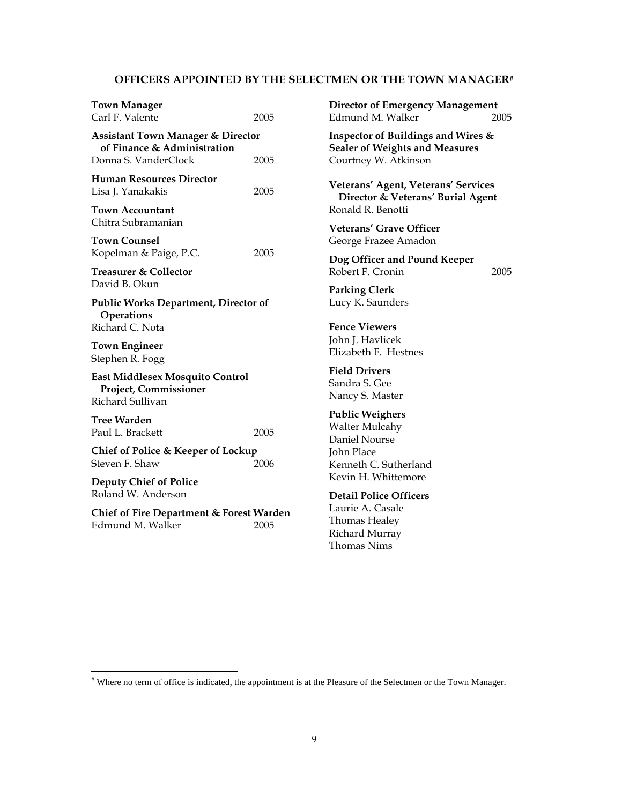#### **OFFICERS APPOINTED BY THE SELECTMEN OR THE TOWN MANAGER#**

| <b>Town Manager</b><br>Carl F. Valente                                       | 2005 |
|------------------------------------------------------------------------------|------|
| <b>Assistant Town Manager &amp; Director</b><br>of Finance & Administration  |      |
| Donna S. VanderClock                                                         | 2005 |
| <b>Human Resources Director</b><br>Lisa J. Yanakakis                         | 2005 |
| Town Accountant<br>Chitra Subramanian                                        |      |
| <b>Town Counsel</b><br>Kopelman & Paige, P.C.                                | 2005 |
| <b>Treasurer &amp; Collector</b><br>David B. Okun                            |      |
| <b>Public Works Department, Director of</b><br>Operations<br>Richard C. Nota |      |
| <b>Town Engineer</b><br>Stephen R. Fogg                                      |      |
| East Middlesex Mosquito Control<br>Project, Commissioner<br>Richard Sullivan |      |
| <b>Tree Warden</b><br>Paul L. Brackett                                       | 2005 |
| Chief of Police & Keeper of Lockup<br>Steven F. Shaw                         | 2006 |
| <b>Deputy Chief of Police</b><br>Roland W. Anderson                          |      |
| Chief of Fire Department & Forest Warden<br>Edmund M. Walker                 | 2005 |

**Director of Emergency Management**  Edmund M. Walker 2005

**Inspector of Buildings and Wires & Sealer of Weights and Measures** Courtney W. Atkinson

**Veterans' Agent, Veterans' Services Director & Veterans' Burial Agent** Ronald R. Benotti

**Veterans' Grave Officer** George Frazee Amadon

**Dog Officer and Pound Keeper** Robert F. Cronin 2005

**Parking Clerk** Lucy K. Saunders

**Fence Viewers** John J. Havlicek Elizabeth F. Hestnes

**Field Drivers** Sandra S. Gee Nancy S. Master

**Public Weighers** Walter Mulcahy Daniel Nourse John Place Kenneth C. Sutherland Kevin H. Whittemore

**Detail Police Officers**  Laurie A. Casale Thomas Healey Richard Murray Thomas Nims

<sup>#</sup> Where no term of office is indicated, the appointment is at the Pleasure of the Selectmen or the Town Manager.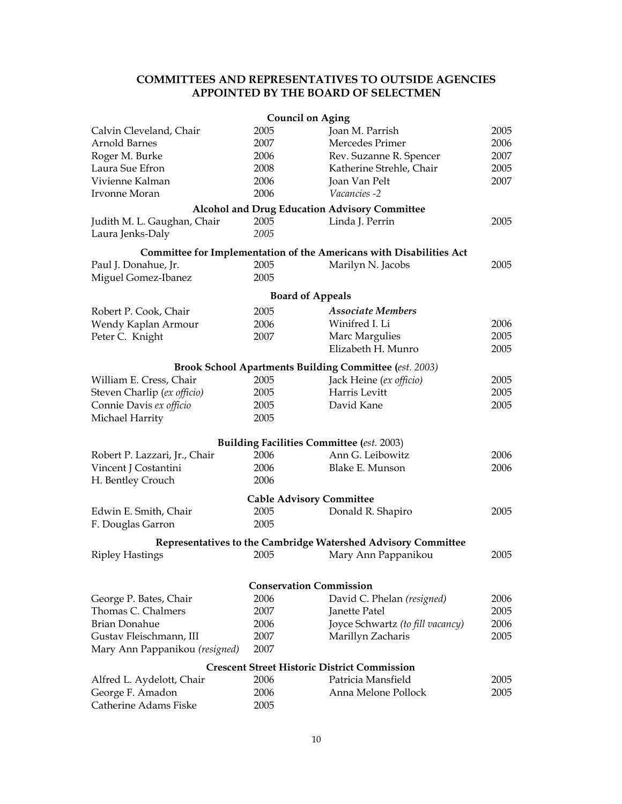### **COMMITTEES AND REPRESENTATIVES TO OUTSIDE AGENCIES APPOINTED BY THE BOARD OF SELECTMEN**

|                                |      | <b>Council on Aging</b>                                              |      |
|--------------------------------|------|----------------------------------------------------------------------|------|
| Calvin Cleveland, Chair        | 2005 | Joan M. Parrish                                                      | 2005 |
| Arnold Barnes                  | 2007 | Mercedes Primer                                                      | 2006 |
| Roger M. Burke                 | 2006 | Rev. Suzanne R. Spencer                                              | 2007 |
| Laura Sue Efron                | 2008 | Katherine Strehle, Chair                                             | 2005 |
| Vivienne Kalman                | 2006 | Joan Van Pelt                                                        | 2007 |
| Irvonne Moran                  | 2006 | <i>Vacancies -2</i>                                                  |      |
|                                |      | <b>Alcohol and Drug Education Advisory Committee</b>                 |      |
| Judith M. L. Gaughan, Chair    | 2005 | Linda J. Perrin                                                      | 2005 |
| Laura Jenks-Daly               | 2005 |                                                                      |      |
|                                |      |                                                                      |      |
|                                |      | Committee for Implementation of the Americans with Disabilities Act  |      |
| Paul J. Donahue, Jr.           | 2005 | Marilyn N. Jacobs                                                    | 2005 |
| Miguel Gomez-Ibanez            | 2005 |                                                                      |      |
|                                |      | <b>Board of Appeals</b>                                              |      |
| Robert P. Cook, Chair          | 2005 | <b>Associate Members</b>                                             |      |
| Wendy Kaplan Armour            | 2006 | Winifred I. Li                                                       | 2006 |
| Peter C. Knight                | 2007 | Marc Margulies                                                       | 2005 |
|                                |      | Elizabeth H. Munro                                                   | 2005 |
|                                |      |                                                                      |      |
|                                |      | <b>Brook School Apartments Building Committee (est. 2003)</b>        |      |
| William E. Cress, Chair        | 2005 | Jack Heine (ex officio)                                              | 2005 |
| Steven Charlip (ex officio)    | 2005 | Harris Levitt                                                        | 2005 |
| Connie Davis ex officio        | 2005 | David Kane                                                           | 2005 |
| Michael Harrity                | 2005 |                                                                      |      |
|                                |      |                                                                      |      |
|                                | 2006 | <b>Building Facilities Committee (est. 2003)</b><br>Ann G. Leibowitz | 2006 |
| Robert P. Lazzari, Jr., Chair  | 2006 | Blake E. Munson                                                      | 2006 |
| Vincent J Costantini           | 2006 |                                                                      |      |
| H. Bentley Crouch              |      |                                                                      |      |
|                                |      | <b>Cable Advisory Committee</b>                                      |      |
| Edwin E. Smith, Chair          | 2005 | Donald R. Shapiro                                                    | 2005 |
| F. Douglas Garron              | 2005 |                                                                      |      |
|                                |      | Representatives to the Cambridge Watershed Advisory Committee        |      |
| <b>Ripley Hastings</b>         | 2005 | Mary Ann Pappanikou                                                  | 2005 |
|                                |      |                                                                      |      |
|                                |      | <b>Conservation Commission</b>                                       |      |
| George P. Bates, Chair         | 2006 | David C. Phelan (resigned)                                           | 2006 |
| Thomas C. Chalmers             | 2007 | Janette Patel                                                        | 2005 |
| Brian Donahue                  | 2006 | Joyce Schwartz (to fill vacancy)                                     | 2006 |
| Gustav Fleischmann, III        | 2007 | Marillyn Zacharis                                                    | 2005 |
| Mary Ann Pappanikou (resigned) | 2007 |                                                                      |      |
|                                |      |                                                                      |      |
|                                |      | <b>Crescent Street Historic District Commission</b>                  |      |
| Alfred L. Aydelott, Chair      | 2006 | Patricia Mansfield                                                   | 2005 |
| George F. Amadon               | 2006 | Anna Melone Pollock                                                  | 2005 |
| Catherine Adams Fiske          | 2005 |                                                                      |      |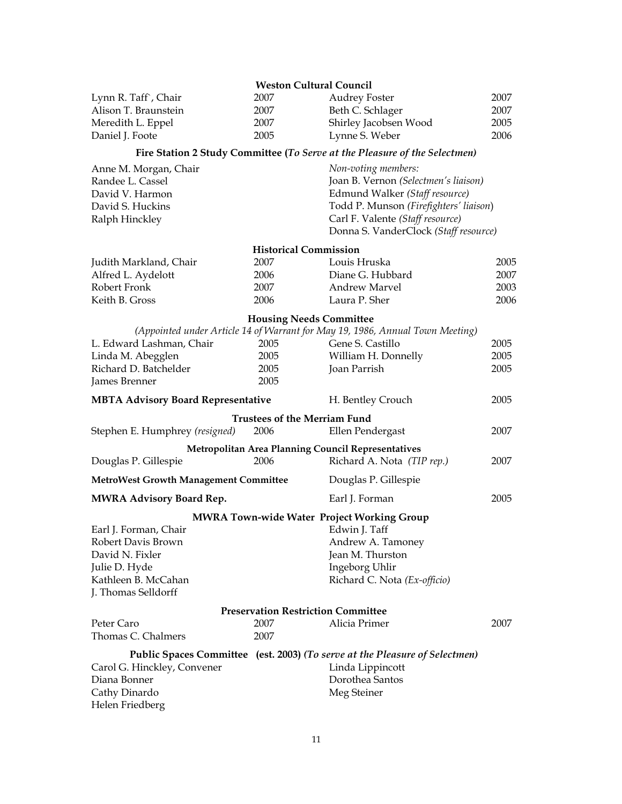|                                              | <b>Weston Cultural Council</b>            |                                                                               |      |
|----------------------------------------------|-------------------------------------------|-------------------------------------------------------------------------------|------|
| Lynn R. Taff , Chair                         | 2007                                      | <b>Audrey Foster</b>                                                          | 2007 |
| Alison T. Braunstein                         | 2007                                      | Beth C. Schlager                                                              | 2007 |
| Meredith L. Eppel                            | 2007                                      | Shirley Jacobsen Wood                                                         | 2005 |
| Daniel J. Foote                              | 2005                                      | Lynne S. Weber                                                                | 2006 |
|                                              |                                           | Fire Station 2 Study Committee (To Serve at the Pleasure of the Selectmen)    |      |
| Anne M. Morgan, Chair                        |                                           | Non-voting members:                                                           |      |
| Randee L. Cassel                             |                                           | Joan B. Vernon (Selectmen's liaison)                                          |      |
| David V. Harmon                              |                                           | Edmund Walker (Staff resource)                                                |      |
| David S. Huckins                             |                                           | Todd P. Munson (Firefighters' liaison)                                        |      |
| Ralph Hinckley                               |                                           | Carl F. Valente (Staff resource)                                              |      |
|                                              |                                           | Donna S. VanderClock (Staff resource)                                         |      |
|                                              | <b>Historical Commission</b>              |                                                                               |      |
| Judith Markland, Chair                       | 2007                                      | Louis Hruska                                                                  | 2005 |
| Alfred L. Aydelott                           | 2006                                      | Diane G. Hubbard                                                              | 2007 |
| Robert Fronk                                 | 2007                                      | <b>Andrew Marvel</b>                                                          | 2003 |
| Keith B. Gross                               | 2006                                      | Laura P. Sher                                                                 | 2006 |
|                                              | <b>Housing Needs Committee</b>            |                                                                               |      |
|                                              |                                           | (Appointed under Article 14 of Warrant for May 19, 1986, Annual Town Meeting) |      |
| L. Edward Lashman, Chair                     | 2005                                      | Gene S. Castillo                                                              | 2005 |
| Linda M. Abegglen                            | 2005                                      | William H. Donnelly                                                           | 2005 |
| Richard D. Batchelder                        | 2005                                      | Joan Parrish                                                                  | 2005 |
| James Brenner                                | 2005                                      |                                                                               |      |
| <b>MBTA Advisory Board Representative</b>    |                                           | H. Bentley Crouch                                                             | 2005 |
|                                              | <b>Trustees of the Merriam Fund</b>       |                                                                               |      |
| Stephen E. Humphrey (resigned)               | 2006                                      | Ellen Pendergast                                                              | 2007 |
|                                              |                                           | <b>Metropolitan Area Planning Council Representatives</b>                     |      |
| Douglas P. Gillespie                         | 2006                                      | Richard A. Nota (TIP rep.)                                                    | 2007 |
| <b>MetroWest Growth Management Committee</b> |                                           | Douglas P. Gillespie                                                          |      |
| <b>MWRA Advisory Board Rep.</b>              |                                           | Earl J. Forman                                                                | 2005 |
|                                              |                                           | <b>MWRA Town-wide Water Project Working Group</b>                             |      |
| Earl J. Forman, Chair                        |                                           | Edwin J. Taff                                                                 |      |
| Robert Davis Brown                           |                                           | Andrew A. Tamoney                                                             |      |
| David N. Fixler                              |                                           | Jean M. Thurston                                                              |      |
| Julie D. Hyde                                |                                           | Ingeborg Uhlir                                                                |      |
| Kathleen B. McCahan                          |                                           | Richard C. Nota (Ex-officio)                                                  |      |
| J. Thomas Selldorff                          |                                           |                                                                               |      |
|                                              | <b>Preservation Restriction Committee</b> |                                                                               |      |
| Peter Caro                                   | 2007                                      | Alicia Primer                                                                 | 2007 |
| Thomas C. Chalmers                           | 2007                                      |                                                                               |      |
|                                              |                                           | Public Spaces Committee (est. 2003) (To serve at the Pleasure of Selectmen)   |      |
| Carol G. Hinckley, Convener                  |                                           | Linda Lippincott                                                              |      |
| Diana Bonner                                 |                                           | Dorothea Santos                                                               |      |
| Cathy Dinardo                                |                                           | Meg Steiner                                                                   |      |
| Helen Friedberg                              |                                           |                                                                               |      |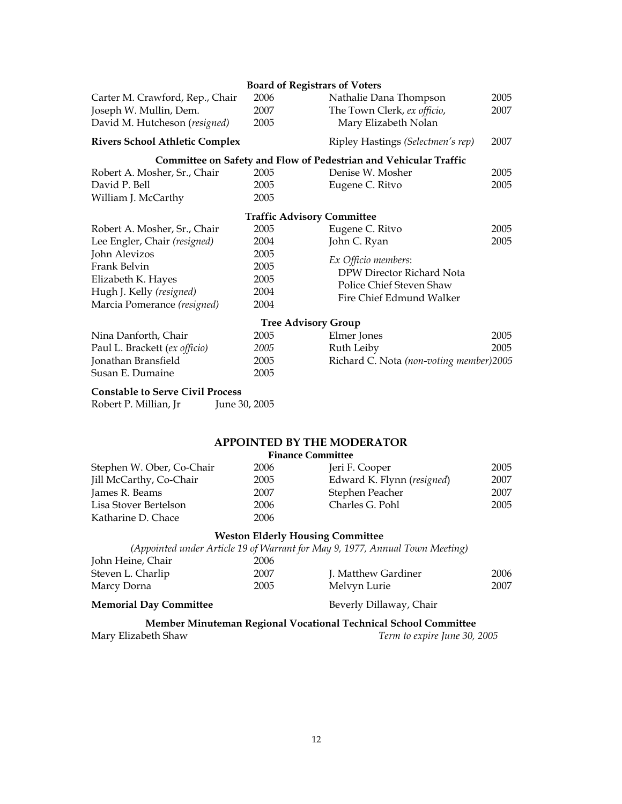|                                         | <b>Board of Registrars of Voters</b> |                                                                         |      |  |
|-----------------------------------------|--------------------------------------|-------------------------------------------------------------------------|------|--|
| Carter M. Crawford, Rep., Chair         | 2006                                 | Nathalie Dana Thompson                                                  | 2005 |  |
| Joseph W. Mullin, Dem.                  | 2007                                 | The Town Clerk, ex officio,                                             | 2007 |  |
| David M. Hutcheson (resigned)           | 2005                                 | Mary Elizabeth Nolan                                                    |      |  |
| <b>Rivers School Athletic Complex</b>   |                                      | Ripley Hastings (Selectmen's rep)                                       | 2007 |  |
|                                         |                                      | <b>Committee on Safety and Flow of Pedestrian and Vehicular Traffic</b> |      |  |
| Robert A. Mosher, Sr., Chair            | 2005                                 | Denise W. Mosher                                                        | 2005 |  |
| David P. Bell                           | 2005                                 | Eugene C. Ritvo                                                         | 2005 |  |
| William J. McCarthy                     | 2005                                 |                                                                         |      |  |
|                                         | <b>Traffic Advisory Committee</b>    |                                                                         |      |  |
| Robert A. Mosher, Sr., Chair            | 2005                                 | Eugene C. Ritvo                                                         | 2005 |  |
| Lee Engler, Chair (resigned)            | 2004                                 | John C. Ryan                                                            | 2005 |  |
| John Alevizos                           | 2005                                 | Ex Officio members:                                                     |      |  |
| Frank Belvin                            | 2005                                 | DPW Director Richard Nota                                               |      |  |
| Elizabeth K. Hayes                      | 2005                                 | Police Chief Steven Shaw                                                |      |  |
| Hugh J. Kelly (resigned)                | 2004                                 | Fire Chief Edmund Walker                                                |      |  |
| Marcia Pomerance (resigned)             | 2004                                 |                                                                         |      |  |
|                                         | <b>Tree Advisory Group</b>           |                                                                         |      |  |
| Nina Danforth, Chair                    | 2005                                 | Elmer Jones                                                             | 2005 |  |
| Paul L. Brackett (ex officio)           | 2005                                 | Ruth Leiby                                                              | 2005 |  |
| Jonathan Bransfield                     | 2005                                 | Richard C. Nota (non-voting member)2005                                 |      |  |
| Susan E. Dumaine                        | 2005                                 |                                                                         |      |  |
| <b>Constable to Serve Civil Process</b> |                                      |                                                                         |      |  |
| Robert P. Millian, Jr                   | June 30, 2005                        |                                                                         |      |  |
|                                         |                                      |                                                                         |      |  |
|                                         |                                      |                                                                         |      |  |

## **APPOINTED BY THE MODERATOR**

| <b>Finance Committee</b>  |      |                            |      |
|---------------------------|------|----------------------------|------|
| Stephen W. Ober, Co-Chair | 2006 | Jeri F. Cooper             | 2005 |
| Jill McCarthy, Co-Chair   | 2005 | Edward K. Flynn (resigned) | 2007 |
| James R. Beams            | 2007 | Stephen Peacher            | 2007 |
| Lisa Stover Bertelson     | 2006 | Charles G. Pohl            | 2005 |
| Katharine D. Chace        | 2006 |                            |      |

#### **Weston Elderly Housing Committee**

|                               |      | (Appointed under Article 19 of Warrant for May 9, 1977, Annual Town Meeting) |      |
|-------------------------------|------|------------------------------------------------------------------------------|------|
| John Heine, Chair             | 2006 |                                                                              |      |
| Steven L. Charlip             | 2007 | J. Matthew Gardiner                                                          | 2006 |
| Marcy Dorna                   | 2005 | Melvyn Lurie                                                                 | 2007 |
| <b>Memorial Day Committee</b> |      | Beverly Dillaway, Chair                                                      |      |

# **Member Minuteman Regional Vocational Technical School Committee**<br>Mary Elizabeth Shaw *Term to expire June 30, 2*

Term to expire June 30, 2005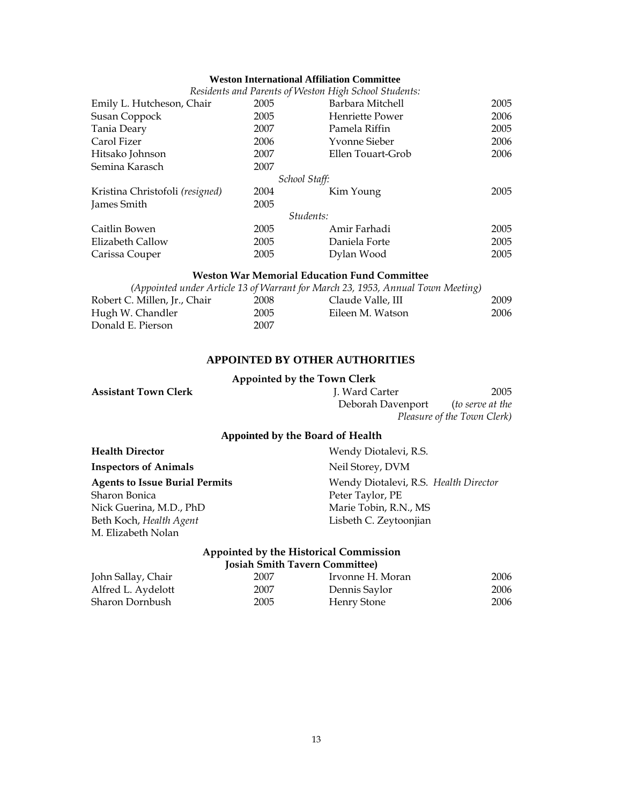#### **Weston International Affiliation Committee**

|                                 |      | Residents and Parents of Weston High School Students: |      |
|---------------------------------|------|-------------------------------------------------------|------|
| Emily L. Hutcheson, Chair       | 2005 | Barbara Mitchell                                      | 2005 |
| Susan Coppock                   | 2005 | Henriette Power                                       | 2006 |
| Tania Deary                     | 2007 | Pamela Riffin                                         | 2005 |
| Carol Fizer                     | 2006 | Yvonne Sieber                                         | 2006 |
| Hitsako Johnson                 | 2007 | Ellen Touart-Grob                                     | 2006 |
| Semina Karasch                  | 2007 |                                                       |      |
|                                 |      | School Staff:                                         |      |
| Kristina Christofoli (resigned) | 2004 | Kim Young                                             | 2005 |
| James Smith                     | 2005 |                                                       |      |
|                                 |      | Students:                                             |      |
| Caitlin Bowen                   | 2005 | Amir Farhadi                                          | 2005 |
| Elizabeth Callow                | 2005 | Daniela Forte                                         | 2005 |
| Carissa Couper                  | 2005 | Dylan Wood                                            | 2005 |

#### **Weston War Memorial Education Fund Committee**

|                              |      | (Appointed under Article 13 of Warrant for March 23, 1953, Annual Town Meeting) |      |
|------------------------------|------|---------------------------------------------------------------------------------|------|
| Robert C. Millen, Jr., Chair | 2008 | Claude Valle, III                                                               | 2009 |
| Hugh W. Chandler             | 2005 | Eileen M. Watson                                                                | 2006 |
| Donald E. Pierson            | 2007 |                                                                                 |      |

#### **APPOINTED BY OTHER AUTHORITIES**

#### **Appointed by the Town Clerk**

| <b>Assistant Town Clerk</b>  | J. Ward Carter                   | 2005                        |
|------------------------------|----------------------------------|-----------------------------|
|                              | Deborah Davenport                | <i>(to serve at the</i> )   |
|                              |                                  | Pleasure of the Town Clerk) |
|                              | Appointed by the Board of Health |                             |
| <b>Health Director</b>       | Wendy Diotalevi, R.S.            |                             |
| <b>Inspectors of Animals</b> | Neil Storey, DVM                 |                             |

**Agents to Issue Burial Permits** Wendy Diotalevi, R.S. *Health Director* Sharon Bonica Nick Guerina, M.D., PhD Beth Koch, *Health Agent* M. Elizabeth Nolan Peter Taylor, PE Marie Tobin, R.N., MS Lisbeth C. Zeytoonjian **Appointed by the Historical Commission** 

| <b>Josiah Smith Tavern Committee)</b> |      |                  |      |
|---------------------------------------|------|------------------|------|
| John Sallay, Chair                    | 2007 | Irvonne H. Moran | 2006 |
| Alfred L. Aydelott                    | 2007 | Dennis Saylor    | 2006 |
| Sharon Dornbush                       | 2005 | Henry Stone      | 2006 |